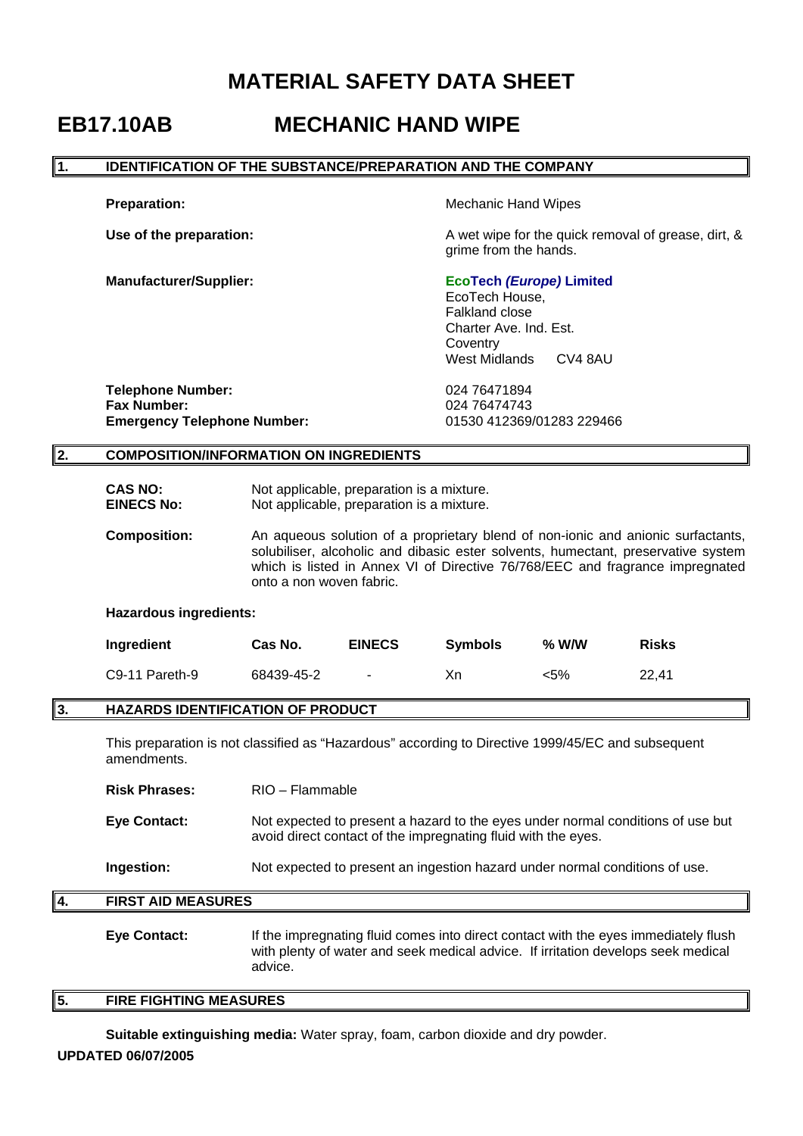# **MATERIAL SAFETY DATA SHEET**

# **EB17.10AB MECHANIC HAND WIPE**

### **1. IDENTIFICATION OF THE SUBSTANCE/PREPARATION AND THE COMPANY**

**Preparation: Contract Preparation: Mechanic Hand Wipes** 

**Use of the preparation: A** wet wipe for the quick removal of grease, dirt, & grime from the hands.

# **Manufacturer/Supplier: EcoTech** *(Europe)* **Limited**

 EcoTech House, Falkland close Charter Ave. Ind. Est. **Coventry** West Midlands CV4 8AU

**Telephone Number:** 024 76471894 **Fax Number:** 024 76474743 **Emergency Telephone Number:** 01530 412369/01283 229466

## **2. COMPOSITION/INFORMATION ON INGREDIENTS**

- **CAS NO:** Not applicable, preparation is a mixture. **EINECS No:** Not applicable, preparation is a mixture.
- **Composition:** An aqueous solution of a proprietary blend of non-ionic and anionic surfactants, solubiliser, alcoholic and dibasic ester solvents, humectant, preservative system which is listed in Annex VI of Directive 76/768/EEC and fragrance impregnated onto a non woven fabric.

#### **Hazardous ingredients:**

| Ingredient     | Cas No.    | <b>EINECS</b> | <b>Symbols</b> | $%$ W/W | <b>Risks</b> |
|----------------|------------|---------------|----------------|---------|--------------|
| C9-11 Pareth-9 | 68439-45-2 | $\sim$        | Хn             | <5%     | 22.41        |

# **3. HAZARDS IDENTIFICATION OF PRODUCT**

This preparation is not classified as "Hazardous" according to Directive 1999/45/EC and subsequent amendments.

**Risk Phrases:** RIO – Flammable

**Eye Contact:** Not expected to present a hazard to the eyes under normal conditions of use but avoid direct contact of the impregnating fluid with the eyes.

**Ingestion:** Not expected to present an ingestion hazard under normal conditions of use.

## **4. FIRST AID MEASURES**

**Eye Contact:** If the impregnating fluid comes into direct contact with the eyes immediately flush with plenty of water and seek medical advice. If irritation develops seek medical advice.

# **5. FIRE FIGHTING MEASURES**

**UPDATED 06/07/2005 Suitable extinguishing media:** Water spray, foam, carbon dioxide and dry powder.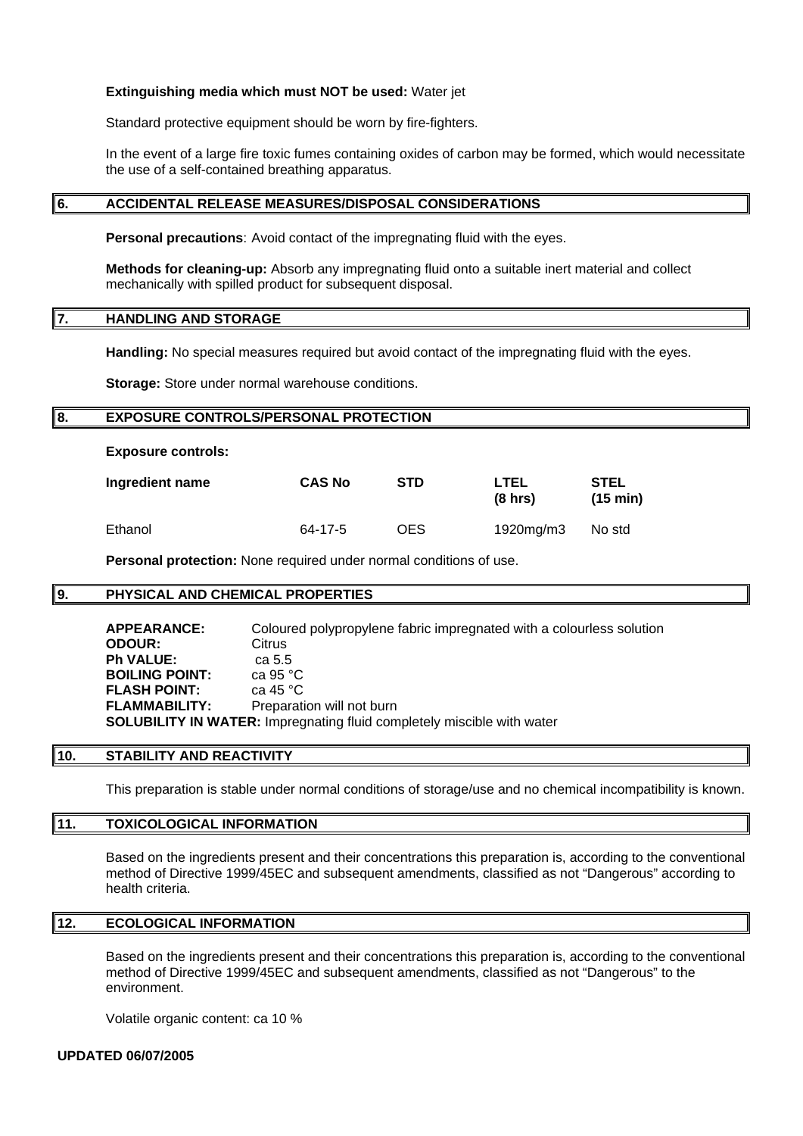#### **Extinguishing media which must NOT be used:** Water jet

Standard protective equipment should be worn by fire-fighters.

In the event of a large fire toxic fumes containing oxides of carbon may be formed, which would necessitate the use of a self-contained breathing apparatus.

#### **6. ACCIDENTAL RELEASE MEASURES/DISPOSAL CONSIDERATIONS**

**Personal precautions**: Avoid contact of the impregnating fluid with the eyes.

**Methods for cleaning-up:** Absorb any impregnating fluid onto a suitable inert material and collect mechanically with spilled product for subsequent disposal.

#### **7. HANDLING AND STORAGE**

**Handling:** No special measures required but avoid contact of the impregnating fluid with the eyes.

**Storage:** Store under normal warehouse conditions.

#### **8. EXPOSURE CONTROLS/PERSONAL PROTECTION**

**Exposure controls:** 

| Ingredient name | <b>CAS No</b> | <b>STD</b> | LTEL<br>$(8 \text{ hrs})$ | <b>STEL</b><br>$(15 \text{ min})$ |
|-----------------|---------------|------------|---------------------------|-----------------------------------|
| Ethanol         | 64-17-5       | OES        | 1920mg/m3                 | No std                            |

**Personal protection:** None required under normal conditions of use.

#### **9. PHYSICAL AND CHEMICAL PROPERTIES**

 **APPEARANCE:** Coloured polypropylene fabric impregnated with a colourless solution **ODOUR:** Citrus **Ph VALUE:** ca 5.5<br>**BOILING POINT:** ca 95 °C **BOILING POINT:** ca 95 °C<br>**FLASH POINT:** ca 45 °C **FLASH POINT: FLAMMABILITY:** Preparation will not burn **SOLUBILITY IN WATER:** Impregnating fluid completely miscible with water

#### **10. STABILITY AND REACTIVITY**

This preparation is stable under normal conditions of storage/use and no chemical incompatibility is known.

## **11. TOXICOLOGICAL INFORMATION**

Based on the ingredients present and their concentrations this preparation is, according to the conventional method of Directive 1999/45EC and subsequent amendments, classified as not "Dangerous" according to health criteria.

#### **12. ECOLOGICAL INFORMATION**

Based on the ingredients present and their concentrations this preparation is, according to the conventional method of Directive 1999/45EC and subsequent amendments, classified as not "Dangerous" to the environment.

Volatile organic content: ca 10 %

#### **UPDATED 06/07/2005**